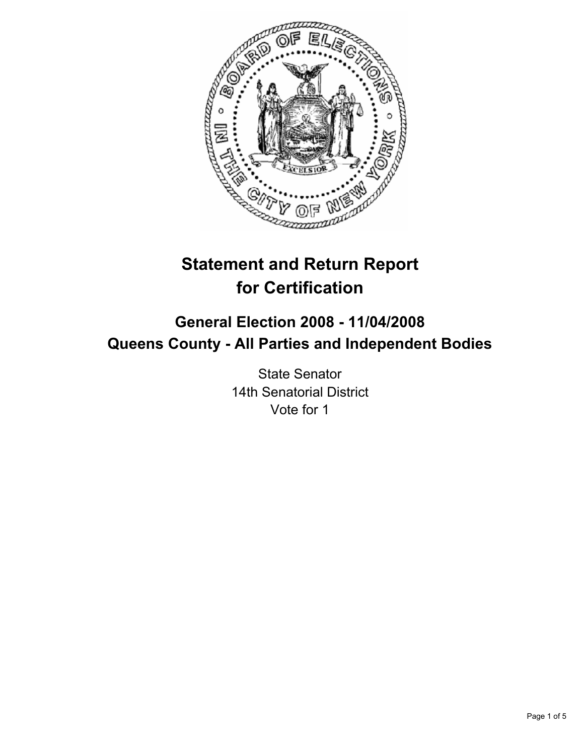

# **Statement and Return Report for Certification**

## **General Election 2008 - 11/04/2008 Queens County - All Parties and Independent Bodies**

State Senator 14th Senatorial District Vote for 1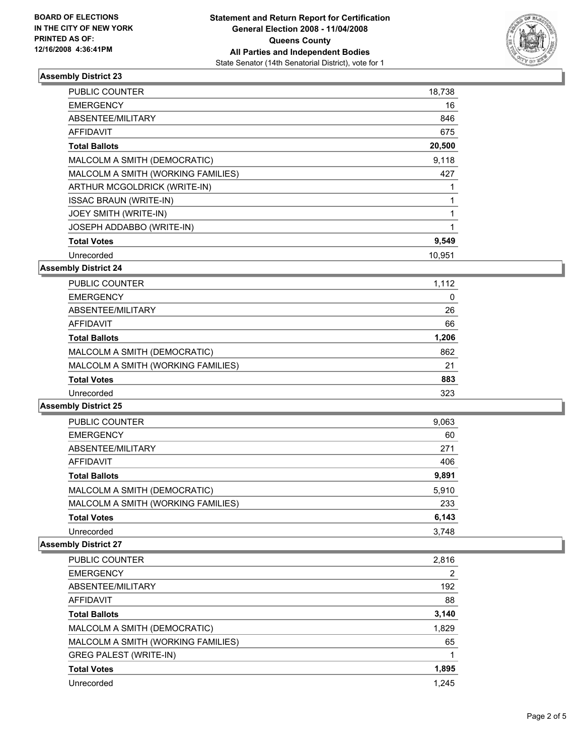

### **Assembly District 23**

| PUBLIC COUNTER                     | 18,738 |  |
|------------------------------------|--------|--|
| <b>EMERGENCY</b>                   | 16     |  |
| ABSENTEE/MILITARY                  | 846    |  |
| AFFIDAVIT                          | 675    |  |
| <b>Total Ballots</b>               | 20,500 |  |
| MALCOLM A SMITH (DEMOCRATIC)       | 9,118  |  |
| MALCOLM A SMITH (WORKING FAMILIES) | 427    |  |
| ARTHUR MCGOLDRICK (WRITE-IN)       |        |  |
| <b>ISSAC BRAUN (WRITE-IN)</b>      |        |  |
| JOEY SMITH (WRITE-IN)              |        |  |
| JOSEPH ADDABBO (WRITE-IN)          |        |  |
| <b>Total Votes</b>                 | 9,549  |  |
| Unrecorded                         | 10.951 |  |

**Assembly District 24**

| <b>PUBLIC COUNTER</b>              | 1,112 |
|------------------------------------|-------|
| <b>EMERGENCY</b>                   | 0     |
| ABSENTEE/MILITARY                  | 26    |
| AFFIDAVIT                          | 66    |
| <b>Total Ballots</b>               | 1,206 |
| MALCOLM A SMITH (DEMOCRATIC)       | 862   |
| MALCOLM A SMITH (WORKING FAMILIES) | 21    |
| <b>Total Votes</b>                 | 883   |
| Unrecorded                         | 323   |

**Assembly District 25**

| PUBLIC COUNTER                     | 9,063 |  |
|------------------------------------|-------|--|
| <b>EMERGENCY</b>                   | 60    |  |
| ABSENTEE/MILITARY                  | 271   |  |
| AFFIDAVIT                          | 406   |  |
| <b>Total Ballots</b>               | 9,891 |  |
| MALCOLM A SMITH (DEMOCRATIC)       | 5,910 |  |
| MALCOLM A SMITH (WORKING FAMILIES) | 233   |  |
| <b>Total Votes</b>                 | 6,143 |  |
| Unrecorded                         | 3.748 |  |

#### **Assembly District 27**

| PUBLIC COUNTER                     | 2,816 |
|------------------------------------|-------|
| <b>EMERGENCY</b>                   | 2     |
| ABSENTEE/MILITARY                  | 192   |
| AFFIDAVIT                          | 88    |
| <b>Total Ballots</b>               | 3,140 |
| MALCOLM A SMITH (DEMOCRATIC)       | 1,829 |
| MALCOLM A SMITH (WORKING FAMILIES) | 65    |
| <b>GREG PALEST (WRITE-IN)</b>      |       |
| <b>Total Votes</b>                 | 1,895 |
| Unrecorded                         | 1.245 |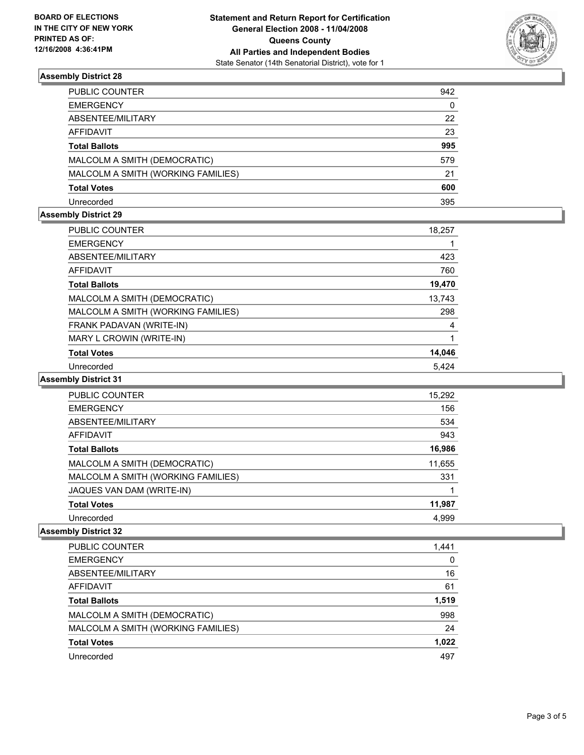

#### **Assembly District 28**

| PUBLIC COUNTER                     | 942 |
|------------------------------------|-----|
| EMERGENCY                          | 0   |
| ABSENTEE/MILITARY                  | 22  |
| AFFIDAVIT                          | 23  |
| Total Ballots                      | 995 |
| MALCOLM A SMITH (DEMOCRATIC)       | 579 |
| MALCOLM A SMITH (WORKING FAMILIES) | 21  |
| Total Votes                        | 600 |
| Unrecorded                         | 395 |

#### **Assembly District 29**

| PUBLIC COUNTER                     | 18,257 |
|------------------------------------|--------|
| <b>EMERGENCY</b>                   |        |
| ABSENTEE/MILITARY                  | 423    |
| AFFIDAVIT                          | 760    |
| <b>Total Ballots</b>               | 19,470 |
| MALCOLM A SMITH (DEMOCRATIC)       | 13,743 |
| MALCOLM A SMITH (WORKING FAMILIES) | 298    |
| FRANK PADAVAN (WRITE-IN)           | 4      |
| MARY L CROWIN (WRITE-IN)           |        |
| <b>Total Votes</b>                 | 14,046 |
| Unrecorded                         | 5,424  |

#### **Assembly District 31**

| PUBLIC COUNTER                     | 15,292 |  |
|------------------------------------|--------|--|
| <b>EMERGENCY</b>                   | 156    |  |
| ABSENTEE/MILITARY                  | 534    |  |
| AFFIDAVIT                          | 943    |  |
| <b>Total Ballots</b>               | 16,986 |  |
| MALCOLM A SMITH (DEMOCRATIC)       | 11,655 |  |
| MALCOLM A SMITH (WORKING FAMILIES) | 331    |  |
| JAQUES VAN DAM (WRITE-IN)          |        |  |
| <b>Total Votes</b>                 | 11,987 |  |
| Unrecorded                         | 4,999  |  |

#### **Assembly District 32**

| PUBLIC COUNTER                     | 1,441 |
|------------------------------------|-------|
| <b>EMERGENCY</b>                   | 0     |
| ABSENTEE/MILITARY                  | 16    |
| AFFIDAVIT                          | 61    |
| <b>Total Ballots</b>               | 1,519 |
| MALCOLM A SMITH (DEMOCRATIC)       | 998   |
| MALCOLM A SMITH (WORKING FAMILIES) | 24    |
| <b>Total Votes</b>                 | 1,022 |
| Unrecorded                         | 497   |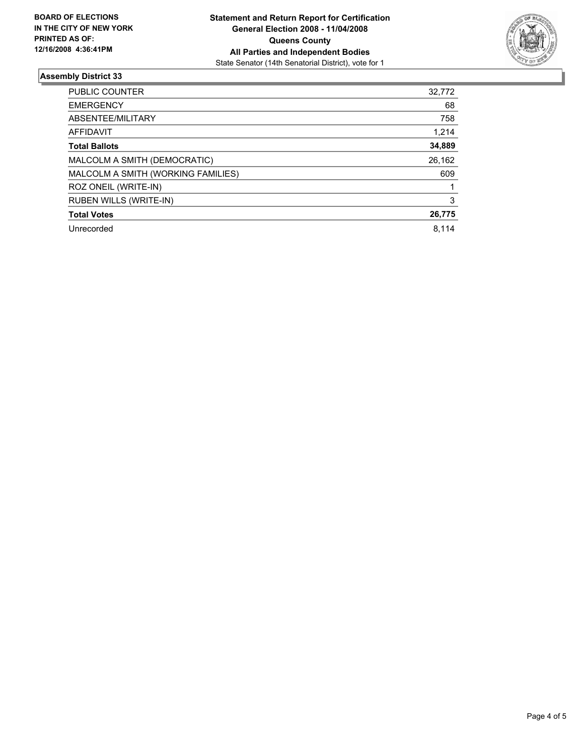

#### **Assembly District 33**

| PUBLIC COUNTER                     | 32,772 |
|------------------------------------|--------|
| <b>EMERGENCY</b>                   | 68     |
| ABSENTEE/MILITARY                  | 758    |
| AFFIDAVIT                          | 1,214  |
| <b>Total Ballots</b>               | 34,889 |
| MALCOLM A SMITH (DEMOCRATIC)       | 26,162 |
| MALCOLM A SMITH (WORKING FAMILIES) | 609    |
| ROZ ONEIL (WRITE-IN)               |        |
| <b>RUBEN WILLS (WRITE-IN)</b>      | 3      |
| <b>Total Votes</b>                 | 26,775 |
| Unrecorded                         | 8.114  |